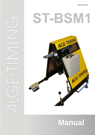# T-BSN



# **Manual**

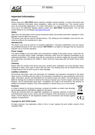

### **Important Information**

#### **General**

Before using your ALGE-TIMING device read the complete manual carefully. It is part of the device and contains important information about installation, safety and its intended use. This manual cannot cover all conceivable applications. For further information or in case of problems that are mentioned not at all or not sufficiently detailed, please contact your **ALGE-TIMING** representative. You can find contact details on our homepage [www.alge-timing.com](http://www.alge-timing.com/)

#### **Safety**

Apart from the information of this manual all general safety and accident prevention regulations of the legislator must be taken into account.

The device must only be used by trained persons. The setting-up and installation must only be executed according to the manufacturer's data.

#### **Intended Use**

The device must only be used for its intended applications. Technical modifications and any misuse are prohibited because of the risks involved! ALGE-TIMING is not liable for damages that are caused by improper use or incorrect operation.

#### **Power supply**

The stated voltage on the type plate must correspond to voltage of the power source. Check all connections and plugs before usage. Damaged connection wires must be replaced immediately by an authorized electrician. The device must only be connected to an electric supply that has been installed by an electrician according to IEC 60364-1. Never touch the mains plug with wet hands! Never touch live parts!

#### **Cleaning**

Please clean the outside of the device only with a smooth cloth. Detergents can cause damage. Never submerge in water, never open or clean with wet cloth. The cleaning must not be carried out by hose or high-pressure (risk of short circuits or other damage).

#### **Liability Limitations**

All technical information, data and information for installation and operation correspond to the latest status at time of printing and are made in all conscience considering our past experience and knowledge. Information, pictures and description do not entitle to base any claims. The manufacturer is not liable for damage due to failure to observe the manual, improper use, incorrect repairs, technical modifications, use of unauthorized spare parts. Translations are made in all conscience. We assume no liability for translation mistakes, even if the translation is carried out by us or on our behalf.

#### **Disposal**

If a label is placed on the device showing a crossed out dustbin on wheels (see drawing), the European directive 2002/96/EG applies for this device.

Please get informed about the applicable regulations for separate collection of electrical and electronical waste in your country and do not dispose of the old devices as household waste. Correct disposal of old equipment protects the environment and humans against negative consequences!



#### **Copyright by** ALGE-TIMING **GmbH**

All rights reserved. Any duplication, either in full or in part, requires the prior written consent of the copyright holder.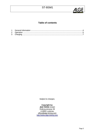

## **Table of contents**

*Subject to changes.* 

#### **Copyright by:**

ALGE-TIMING GmbH Rotkreuzstrasse 39 A-6890 Lustenau [office@alge-timing.com](http://www.alge-timing.com/) http://www.alge-timing.com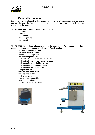<span id="page-3-0"></span>

# **1 General Information**

For many disciplines in track cycling a starter is necessary. With the starter you can fasten and lock the race bike. With the start impulse the start machine unlocks the cyclist and he can start into the race.

#### **The start machine is used for the following events:**

- 500 meter
- 1 kilometer
- team speed
- individual pursuit
- team pursuit

#### **The ST-BSM1 is a variable adjustable pneumatic start machine (with compressor) that meets the highest requirements for all levels of track cycling:**

- start output (banana sockets)
- start input (banana sockets)
- connection for compressor
- meter for compressed air
- push button for back wheel holder closing
- push button for back wheel holder opening
- push button for saddle holder closing
- push button for saddle holder opening
- push button for back wheel stand
- 2 x operation switch
- fixing point for back wheel
- fixing point for saddle
- back wheel stand
- internal 12V rechargeable battery with integrated charger
- adjustable level for track slope



Compressor

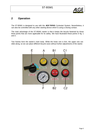

# <span id="page-4-0"></span>**2 Operation**

The ST-BSM1 is designed to use with the ALGE-TIMING Cyclestart System. Nevertheless, it can also be controlled with any other starting-device which is using a closing contact.

The main advantage of the ST-BSM1 starter is that it keeps the bicycle fastened by those three points that are more applicable for its safety. We have illustrated these points in fig. 1 and 2.

Two frames form the starter's main body. While the lower one is firm, the upper one can slide along, so we can place different bicycle sizes without further adjustments of the starter.

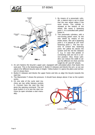



- 1. By means of a pneumatic cylinder, a lateral stop is set to avoid that the rear wheel slides if the racer moves. This cylinder is situated at the bottom of the wheel. We name it fastening point 1. It is controlled with yellow button A.
- 2. Two pneumatic cylinders, with a non-turning piston each, fix the rear wheel by means of two brake shoes. We call it fastening point 2. It is placed at 120° from fastening point 1. The two buttons B control this fastening point: the yellow B1 blocks the system and the red B2 releases it, e.g. in case that pedals or connecting rods are not in a correct position. Also, those cylinders can reduce the width to adjust the different rim thick and the height for 26" and 28" wheels.
- 3. An arm fastens the bicycle's upper part, equipped with articulated pliers that fasten the seat post. This is the fastening point 3. Button D releases and blocks the arm, so we can adjust it for different bicycle sizes in height. Yellow button C1 opens the pliers and red button C2 closes them.
- 4. Button E releases and blocks the upper frame and lets us align the bicycle towards the start line.
- 5. The Manometer F shows the pressure. It should have always above 4 bar so the system works.
- 6. On one side of the cycle start machine are two white banana sockets G. Connect here the start line that gives the opening commend. The red push button H is to test the start machine (to open simulate a start manually).

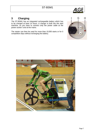# <span id="page-6-0"></span>**3 Charging**

The ST-BSM1 has an integrated rechargeable battery which has to be charged at least 14 hours. A charger is built into the start machine, so you have to connect only the power cable at the power socket I and at the mains.

The starter can then be used for more than 10,000 starts or for 5 competition days without recharging the battery.